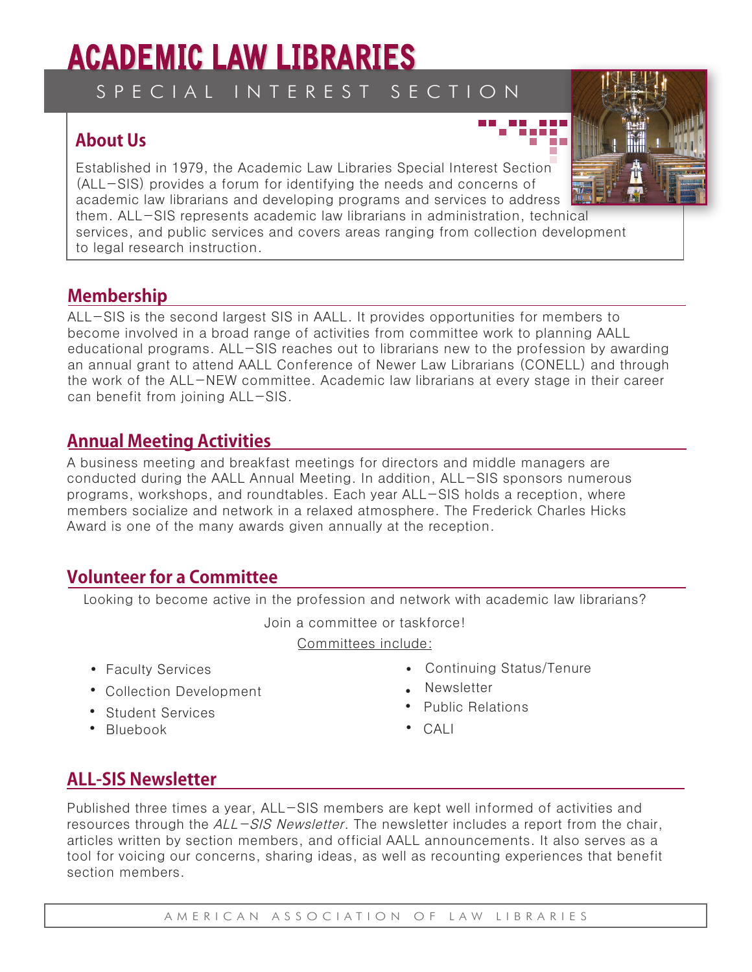# **ACADEMIC LAW LIBRARIES**

S P E C I A L I N T E R E S T S E C T I O N

## **About Us**

Established in 1979, the Academic Law Libraries Special Interest Section (ALL-SIS) provides a forum for identifying the needs and concerns of academic law librarians and developing programs and services to address them. ALL-SIS represents academic law librarians in administration, technical services, and public services and covers areas ranging from collection development to legal research instruction.

#### **Membership**

ALL-SIS is the second largest SIS in AALL. It provides opportunities for members to become involved in a broad range of activities from committee work to planning AALL educational programs. ALL-SIS reaches out to librarians new to the profession by awarding an annual grant to attend AALL Conference of Newer Law Librarians (CONELL) and through the work of the ALL-NEW committee. Academic law librarians at every stage in their career can benefit from joining ALL-SIS.

#### **Annual Meeting Activities**

A business meeting and breakfast meetings for directors and middle managers are conducted during the AALL Annual Meeting. In addition, ALL-SIS sponsors numerous programs, workshops, and roundtables. Each year ALL-SIS holds a reception, where members socialize and network in a relaxed atmosphere. The Frederick Charles Hicks Award is one of the many awards given annually at the reception.

## **Volunteer for a Committee**

Looking to become active in the profession and network with academic law librarians?

Join a committee or taskforce!

Committees include:

- Faculty Services
- Collection Development
- Student Services
- Bluebook CALI
- Continuing Status/Tenure
- Newsletter
- Public Relations
- 

#### **ALL-SIS Newsletter**

Published three times a year, ALL-SIS members are kept well informed of activities and resources through the  $ALL-SIS$  Newsletter. The newsletter includes a report from the chair, articles written by section members, and official AALL announcements. It also serves as a tool for voicing our concerns, sharing ideas, as well as recounting experiences that benefit section members.